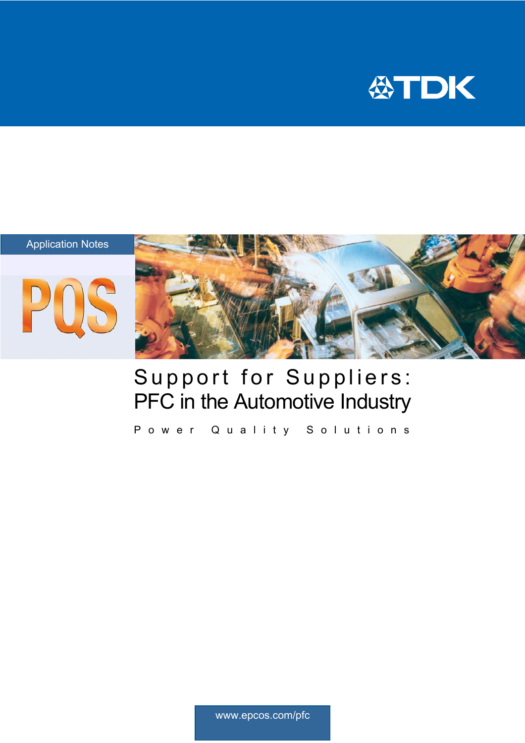







# Support for Suppliers: PFC in the Automotive Industry

Power Quality Solutions

www.epcos.com/pfc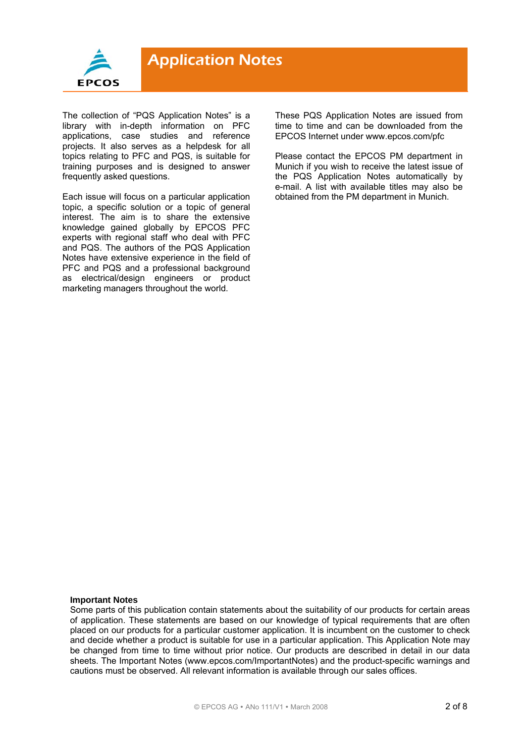

The collection of "PQS Application Notes" is a library with in-depth information on PFC applications, case studies and reference projects. It also serves as a helpdesk for all topics relating to PFC and PQS, is suitable for training purposes and is designed to answer frequently asked questions.

Each issue will focus on a particular application topic, a specific solution or a topic of general interest. The aim is to share the extensive knowledge gained globally by EPCOS PFC experts with regional staff who deal with PFC and PQS. The authors of the PQS Application Notes have extensive experience in the field of PFC and PQS and a professional background as electrical/design engineers or product marketing managers throughout the world.

These PQS Application Notes are issued from time to time and can be downloaded from the EPCOS Internet under www.epcos.com/pfc

Please contact the EPCOS PM department in Munich if you wish to receive the latest issue of the PQS Application Notes automatically by e-mail. A list with available titles may also be obtained from the PM department in Munich.

#### **Important Notes**

Some parts of this publication contain statements about the suitability of our products for certain areas of application. These statements are based on our knowledge of typical requirements that are often placed on our products for a particular customer application. It is incumbent on the customer to check and decide whether a product is suitable for use in a particular application. This Application Note may be changed from time to time without prior notice. Our products are described in detail in our data sheets. The Important Notes (www.epcos.com/ImportantNotes) and the product-specific warnings and cautions must be observed. All relevant information is available through our sales offices.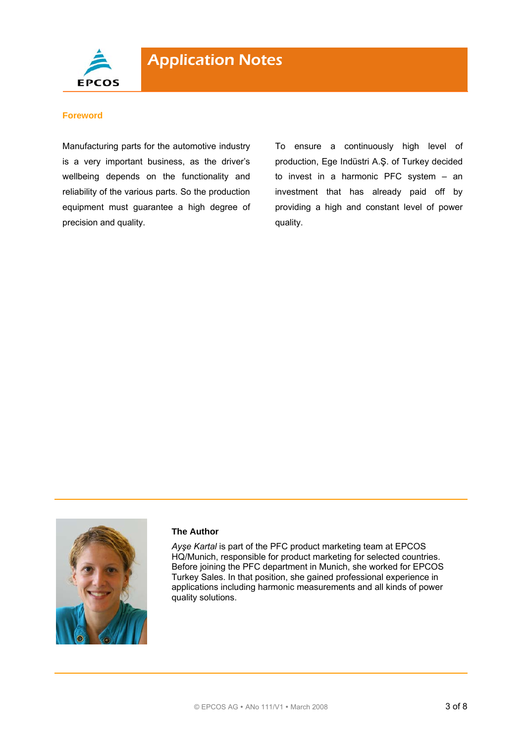

#### **Foreword**

Manufacturing parts for the automotive industry is a very important business, as the driver's wellbeing depends on the functionality and reliability of the various parts. So the production equipment must guarantee a high degree of precision and quality.

To ensure a continuously high level of production, Ege Indüstri A.Ş. of Turkey decided to invest in a harmonic PFC system – an investment that has already paid off by providing a high and constant level of power quality.



#### **The Author**

*Ayşe Kartal* is part of the PFC product marketing team at EPCOS HQ/Munich, responsible for product marketing for selected countries. Before joining the PFC department in Munich, she worked for EPCOS Turkey Sales. In that position, she gained professional experience in applications including harmonic measurements and all kinds of power quality solutions.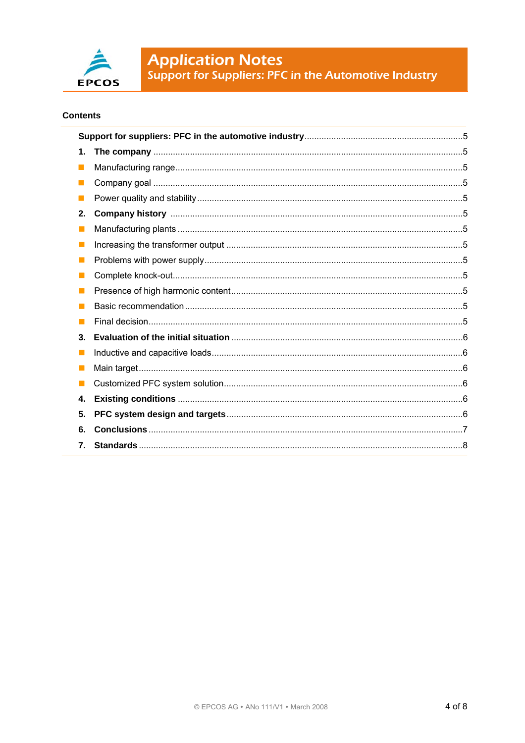

**Application Notes**<br>Support for Suppliers: PFC in the Automotive Industry

### **Contents**

| 1.          |  |  |
|-------------|--|--|
| I.          |  |  |
|             |  |  |
|             |  |  |
| 2.          |  |  |
|             |  |  |
| <b>Tara</b> |  |  |
|             |  |  |
|             |  |  |
|             |  |  |
|             |  |  |
|             |  |  |
| 3.          |  |  |
|             |  |  |
|             |  |  |
|             |  |  |
| 4.          |  |  |
| 5.          |  |  |
| 6.          |  |  |
| 7.          |  |  |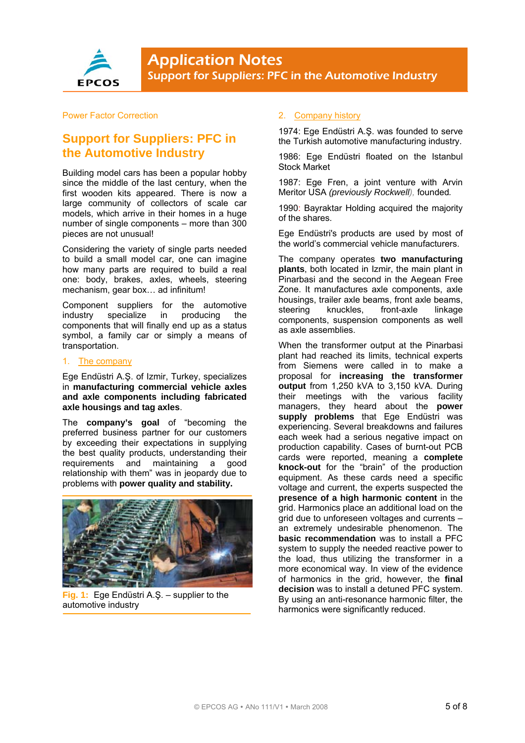

#### Power Factor Correction

## **Support for Suppliers: PFC in the Automotive Industry**

Building model cars has been a popular hobby since the middle of the last century, when the first wooden kits appeared. There is now a large community of collectors of scale car models, which arrive in their homes in a huge number of single components – more than 300 pieces are not unusual!

Considering the variety of single parts needed to build a small model car, one can imagine how many parts are required to build a real one: body, brakes, axles, wheels, steering mechanism, gear box… ad infinitum!

Component suppliers for the automotive industry specialize in producing the components that will finally end up as a status symbol, a family car or simply a means of transportation.

#### 1. The company

Ege Endüstri A.Ş. of Izmir, Turkey, specializes in **manufacturing commercial vehicle axles and axle components including fabricated axle housings and tag axles**.

The **company's goal** of "becoming the preferred business partner for our customers by exceeding their expectations in supplying the best quality products, understanding their requirements and maintaining a good relationship with them" was in jeopardy due to problems with **power quality and stability.**



**Fig. 1:** Ege Endüstri A.Ş. – supplier to the automotive industry

#### 2. Company history

1974: Ege Endüstri A.Ş. was founded to serve the Turkish automotive manufacturing industry.

1986: Ege Endüstri floated on the Istanbul Stock Market

1987: Ege Fren, a joint venture with Arvin Meritor USA *(previously Rockwell),* founded*.*

1990: Bayraktar Holding acquired the majority of the shares.

Ege Endüstri's products are used by most of the world's commercial vehicle manufacturers.

The company operates **two manufacturing plants**, both located in Izmir, the main plant in Pinarbasi and the second in the Aegean Free Zone. It manufactures axle components, axle housings, trailer axle beams, front axle beams, steering knuckles, front-axle linkage components, suspension components as well as axle assemblies.

When the transformer output at the Pinarbasi plant had reached its limits, technical experts from Siemens were called in to make a proposal for **increasing the transformer output** from 1,250 kVA to 3,150 kVA. During their meetings with the various facility managers, they heard about the **power supply problems** that Ege Endüstri was experiencing. Several breakdowns and failures each week had a serious negative impact on production capability. Cases of burnt-out PCB cards were reported, meaning a **complete knock-out** for the "brain" of the production equipment. As these cards need a specific voltage and current, the experts suspected the **presence of a high harmonic content** in the grid. Harmonics place an additional load on the grid due to unforeseen voltages and currents – an extremely undesirable phenomenon. The **basic recommendation** was to install a PFC system to supply the needed reactive power to the load, thus utilizing the transformer in a more economical way. In view of the evidence of harmonics in the grid, however, the **final decision** was to install a detuned PFC system. By using an anti-resonance harmonic filter, the harmonics were significantly reduced.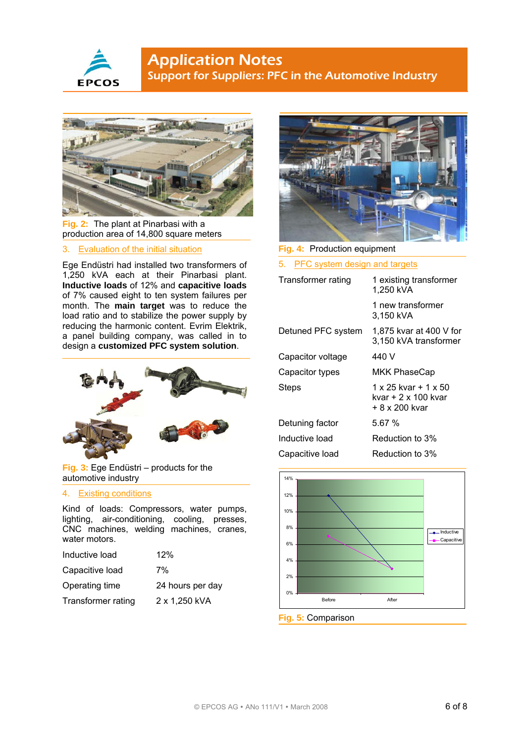



**Fig. 2:** The plant at Pinarbasi with a production area of 14,800 square meters

#### 3. Evaluation of the initial situation

Ege Endüstri had installed two transformers of 1,250 kVA each at their Pinarbasi plant. **Inductive loads** of 12% and **capacitive loads** of 7% caused eight to ten system failures per month. The **main target** was to reduce the load ratio and to stabilize the power supply by reducing the harmonic content. Evrim Elektrik, a panel building company, was called in to design a **customized PFC system solution**.



**Fig. 3:** Ege Endüstri – products for the automotive industry

#### 4. Existing conditions

Kind of loads: Compressors, water pumps, lighting, air-conditioning, cooling, presses, CNC machines, welding machines, cranes, water motors.

| Inductive load     | 12%              |
|--------------------|------------------|
| Capacitive load    | 7%               |
| Operating time     | 24 hours per day |
| Transformer rating | 2 x 1,250 kVA    |



#### **Fig. 4:** Production equipment

5. PFC system design and targets

| Transformer rating | 1 existing transformer<br>1,250 kVA                           |
|--------------------|---------------------------------------------------------------|
|                    | 1 new transformer<br>3,150 kVA                                |
| Detuned PFC system | 1,875 kvar at 400 V for<br>3,150 kVA transformer              |
| Capacitor voltage  | 440 V                                                         |
| Capacitor types    | MKK PhaseCap                                                  |
| Steps              | 1 x 25 kvar + 1 x 50<br>kvar + 2 x 100 kvar<br>+ 8 x 200 kvar |
| Detuning factor    | 5.67 %                                                        |
| Inductive load     | Reduction to 3%                                               |
| Capacitive load    | Reduction to 3%                                               |



#### **Fig. 5:** Comparison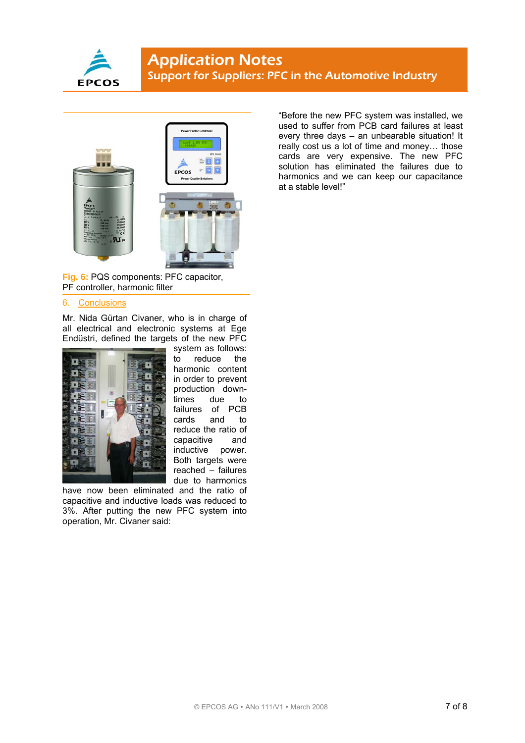



**Fig. 6:** PQS components: PFC capacitor, PF controller, harmonic filter

#### 6. Conclusions

Mr. Nida Gürtan Civaner, who is in charge of all electrical and electronic systems at Ege Endüstri, defined the targets of the new PFC



system as follows: to reduce the harmonic content in order to prevent production downtimes due to failures of PCB<br>cards and to cards and to reduce the ratio of capacitive and inductive power. Both targets were reached – failures due to harmonics

have now been eliminated and the ratio of capacitive and inductive loads was reduced to 3%. After putting the new PFC system into operation, Mr. Civaner said:

"Before the new PFC system was installed, we used to suffer from PCB card failures at least every three days – an unbearable situation! It really cost us a lot of time and money… those cards are very expensive. The new PFC solution has eliminated the failures due to harmonics and we can keep our capacitance at a stable level!"